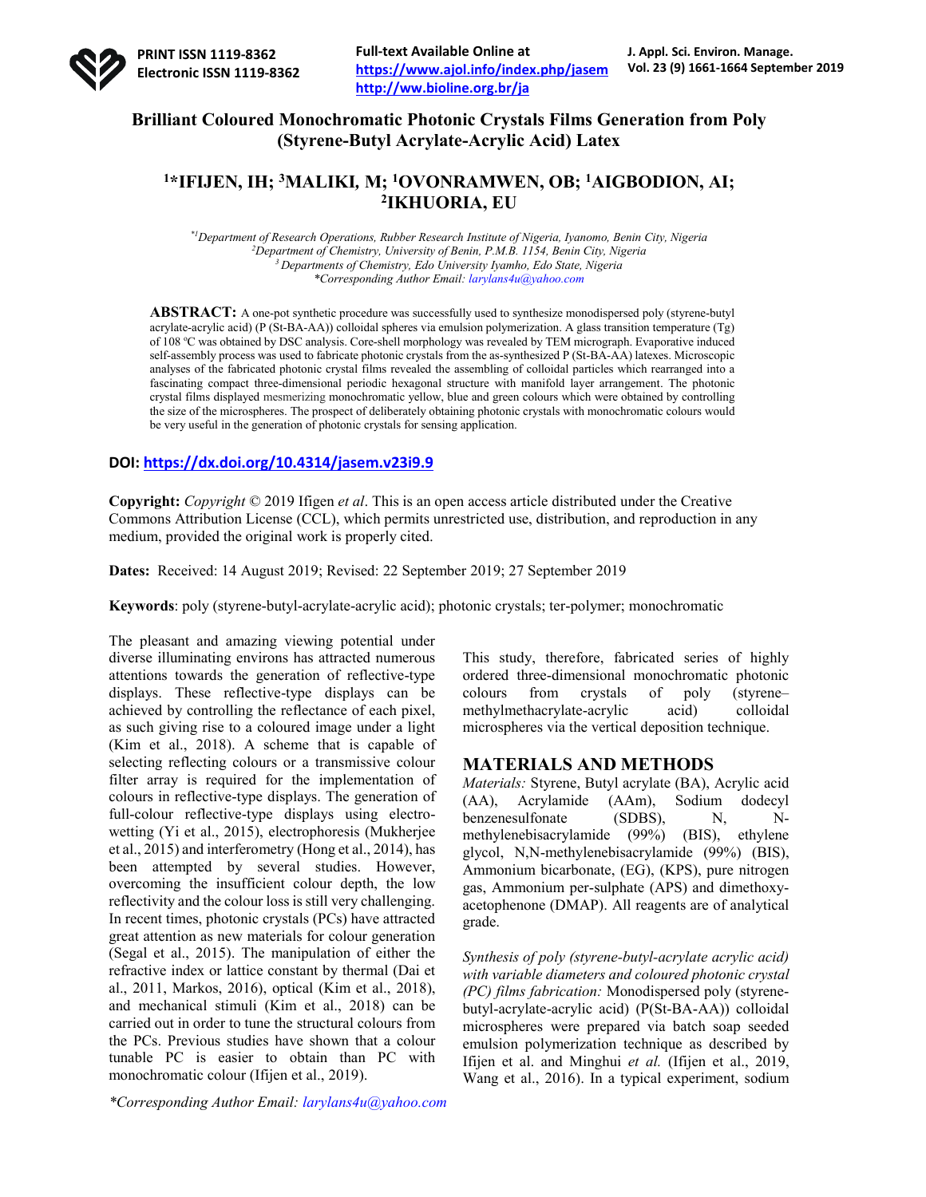

# **Brilliant Coloured Monochromatic Photonic Crystals Films Generation from Poly (Styrene-Butyl Acrylate-Acrylic Acid) Latex**

## **1\*IFIJEN, IH; 3MALIKI***,* **M; 1OVONRAMWEN, OB; 1AIGBODION, AI; 2IKHUORIA, EU**

*\*1 Department of Research Operations, Rubber Research Institute of Nigeria, Iyanomo, Benin City, Nigeria 2 Department of Chemistry, University of Benin, P.M.B. 1154, Benin City, Nigeria 3 Departments of Chemistry, Edo University Iyamho, Edo State, Nigeria \*Corresponding Author Email: larylans4u@yahoo.com*

**ABSTRACT:** A one-pot synthetic procedure was successfully used to synthesize monodispersed poly (styrene-butyl acrylate-acrylic acid) (P (St-BA-AA)) colloidal spheres via emulsion polymerization. A glass transition temperature (Tg) of 108 °C was obtained by DSC analysis. Core-shell morphology was revealed by TEM micrograph. Evaporative induced self-assembly process was used to fabricate photonic crystals from the as-synthesized P (St-BA-AA) latexes. Microscopic analyses of the fabricated photonic crystal films revealed the assembling of colloidal particles which rearranged into a fascinating compact three-dimensional periodic hexagonal structure with manifold layer arrangement. The photonic crystal films displayed mesmerizing monochromatic yellow, blue and green colours which were obtained by controlling the size of the microspheres. The prospect of deliberately obtaining photonic crystals with monochromatic colours would be very useful in the generation of photonic crystals for sensing application.

### **DOI: https://dx.doi.org/10.4314/jasem.v23i9.9**

**Copyright:** *Copyright* © 2019 Ifigen *et al*. This is an open access article distributed under the Creative Commons Attribution License (CCL), which permits unrestricted use, distribution, and reproduction in any medium, provided the original work is properly cited.

**Dates:** Received: 14 August 2019; Revised: 22 September 2019; 27 September 2019

**Keywords**: poly (styrene-butyl-acrylate-acrylic acid); photonic crystals; ter-polymer; monochromatic

The pleasant and amazing viewing potential under diverse illuminating environs has attracted numerous attentions towards the generation of reflective-type displays. These reflective-type displays can be achieved by controlling the reflectance of each pixel, as such giving rise to a coloured image under a light (Kim et al., 2018). A scheme that is capable of selecting reflecting colours or a transmissive colour filter array is required for the implementation of colours in reflective-type displays. The generation of full-colour reflective-type displays using electrowetting (Yi et al., 2015), electrophoresis (Mukherjee et al., 2015) and interferometry (Hong et al., 2014), has been attempted by several studies. However, overcoming the insufficient colour depth, the low reflectivity and the colour loss is still very challenging. In recent times, photonic crystals (PCs) have attracted great attention as new materials for colour generation (Segal et al., 2015). The manipulation of either the refractive index or lattice constant by thermal (Dai et al., 2011, Markos, 2016), optical (Kim et al., 2018), and mechanical stimuli (Kim et al., 2018) can be carried out in order to tune the structural colours from the PCs. Previous studies have shown that a colour tunable PC is easier to obtain than PC with monochromatic colour (Ifijen et al., 2019).

*\*Corresponding Author Email: larylans4u@yahoo.com*

This study, therefore, fabricated series of highly ordered three-dimensional monochromatic photonic colours from crystals of poly (styrene– methylmethacrylate-acrylic acid) colloidal microspheres via the vertical deposition technique.

## **MATERIALS AND METHODS**

*Materials:* Styrene, Butyl acrylate (BA), Acrylic acid (AA), Acrylamide (AAm), Sodium dodecyl benzenesulfonate (SDBS), N, Nmethylenebisacrylamide (99%) (BIS), ethylene glycol, N,N-methylenebisacrylamide (99%) (BIS), Ammonium bicarbonate, (EG), (KPS), pure nitrogen gas, Ammonium per-sulphate (APS) and dimethoxyacetophenone (DMAP). All reagents are of analytical grade.

*Synthesis of poly (styrene-butyl-acrylate acrylic acid) with variable diameters and coloured photonic crystal (PC) films fabrication:* Monodispersed poly (styrenebutyl-acrylate-acrylic acid) (P(St-BA-AA)) colloidal microspheres were prepared via batch soap seeded emulsion polymerization technique as described by Ifijen et al. and Minghui *et al.* (Ifijen et al., 2019, Wang et al., 2016). In a typical experiment, sodium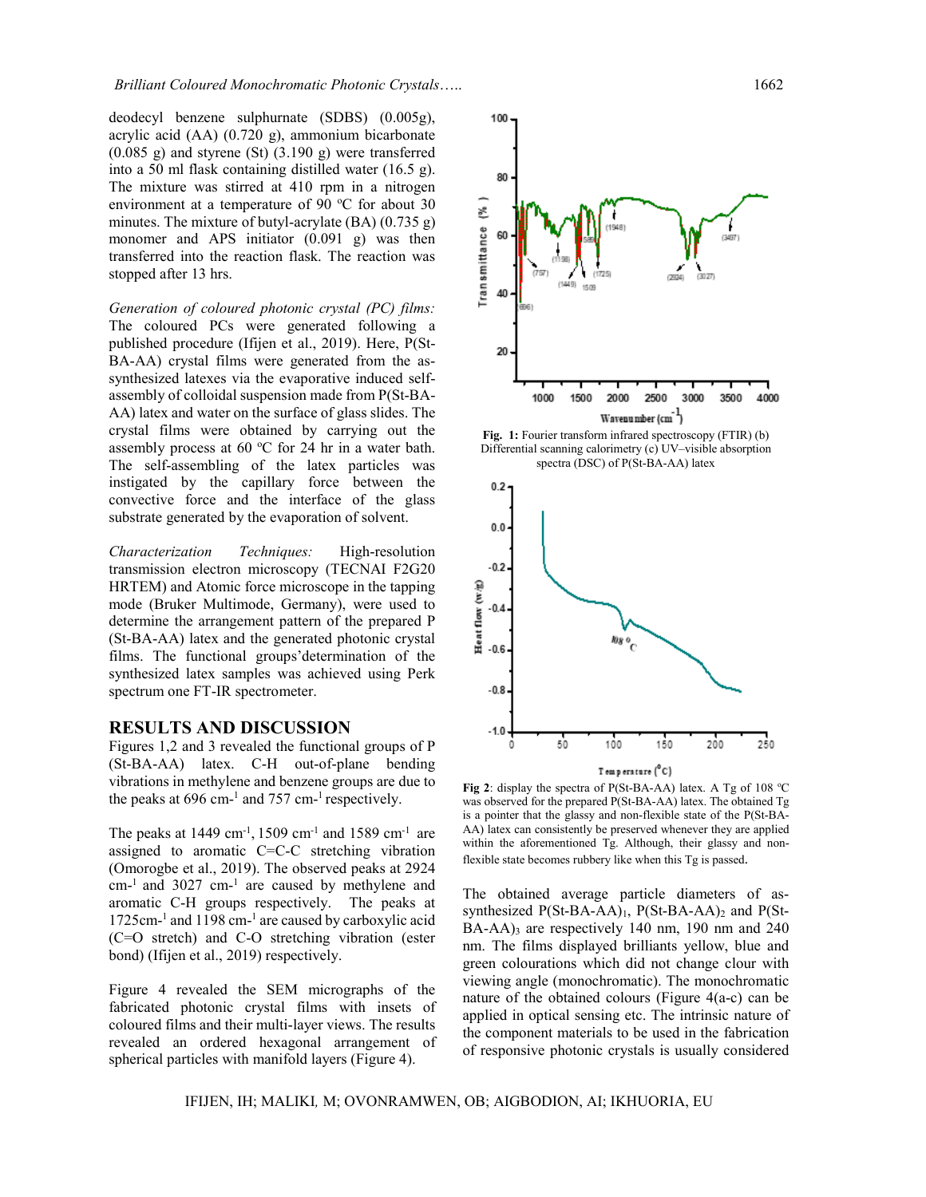deodecyl benzene sulphurnate (SDBS) (0.005g), acrylic acid (AA) (0.720 g), ammonium bicarbonate (0.085 g) and styrene (St) (3.190 g) were transferred into a 50 ml flask containing distilled water (16.5 g). The mixture was stirred at 410 rpm in a nitrogen environment at a temperature of 90  $^{\circ}$ C for about 30 minutes. The mixture of butyl-acrylate (BA) (0.735 g) monomer and APS initiator (0.091 g) was then transferred into the reaction flask. The reaction was stopped after 13 hrs.

*Generation of coloured photonic crystal (PC) films:* The coloured PCs were generated following a published procedure (Ifijen et al., 2019). Here, P(St-BA-AA) crystal films were generated from the assynthesized latexes via the evaporative induced selfassembly of colloidal suspension made from P(St-BA-AA) latex and water on the surface of glass slides. The crystal films were obtained by carrying out the assembly process at 60  $\rm{^{\circ}C}$  for 24 hr in a water bath. The self-assembling of the latex particles was instigated by the capillary force between the convective force and the interface of the glass substrate generated by the evaporation of solvent.

*Characterization Techniques:* High-resolution transmission electron microscopy (TECNAI F2G20 HRTEM) and Atomic force microscope in the tapping mode (Bruker Multimode, Germany), were used to determine the arrangement pattern of the prepared P (St-BA-AA) latex and the generated photonic crystal films. The functional groups'determination of the synthesized latex samples was achieved using Perk spectrum one FT-IR spectrometer.

#### **RESULTS AND DISCUSSION**

Figures 1,2 and 3 revealed the functional groups of P (St-BA-AA) latex. C-H out-of-plane bending vibrations in methylene and benzene groups are due to the peaks at  $696 \text{ cm}^{-1}$  and  $757 \text{ cm}^{-1}$  respectively.

The peaks at  $1449 \text{ cm}^{-1}$ ,  $1509 \text{ cm}^{-1}$  and  $1589 \text{ cm}^{-1}$  are assigned to aromatic C=C-C stretching vibration (Omorogbe et al., 2019). The observed peaks at 2924 cm-1 and 3027 cm-<sup>1</sup> are caused by methylene and aromatic C-H groups respectively. The peaks at 1725cm-<sup>1</sup> and 1198 cm-<sup>1</sup> are caused by carboxylic acid (C=O stretch) and C-O stretching vibration (ester bond) (Ifijen et al., 2019) respectively.

Figure 4 revealed the SEM micrographs of the fabricated photonic crystal films with insets of coloured films and their multi-layer views. The results revealed an ordered hexagonal arrangement of spherical particles with manifold layers (Figure 4).



**Fig. 1:** Fourier transform infrared spectroscopy (FTIR) (b) Differential scanning calorimetry (c) UV–visible absorption spectra (DSC) of P(St-BA-AA) latex



Fig 2: display the spectra of  $P(St-BA-AA)$  latex. A Tg of 108 °C was observed for the prepared P(St-BA-AA) latex. The obtained Tg is a pointer that the glassy and non-flexible state of the P(St-BA-AA) latex can consistently be preserved whenever they are applied within the aforementioned Tg. Although, their glassy and nonflexible state becomes rubbery like when this Tg is passed.

The obtained average particle diameters of assynthesized  $P(St-BA-AA)_1$ ,  $P(St-BA-AA)_2$  and  $P(St-BA-AA)_1$  $BA-AA$ )<sub>3</sub> are respectively 140 nm, 190 nm and 240 nm. The films displayed brilliants yellow, blue and green colourations which did not change clour with viewing angle (monochromatic). The monochromatic nature of the obtained colours (Figure 4(a-c) can be applied in optical sensing etc. The intrinsic nature of the component materials to be used in the fabrication of responsive photonic crystals is usually considered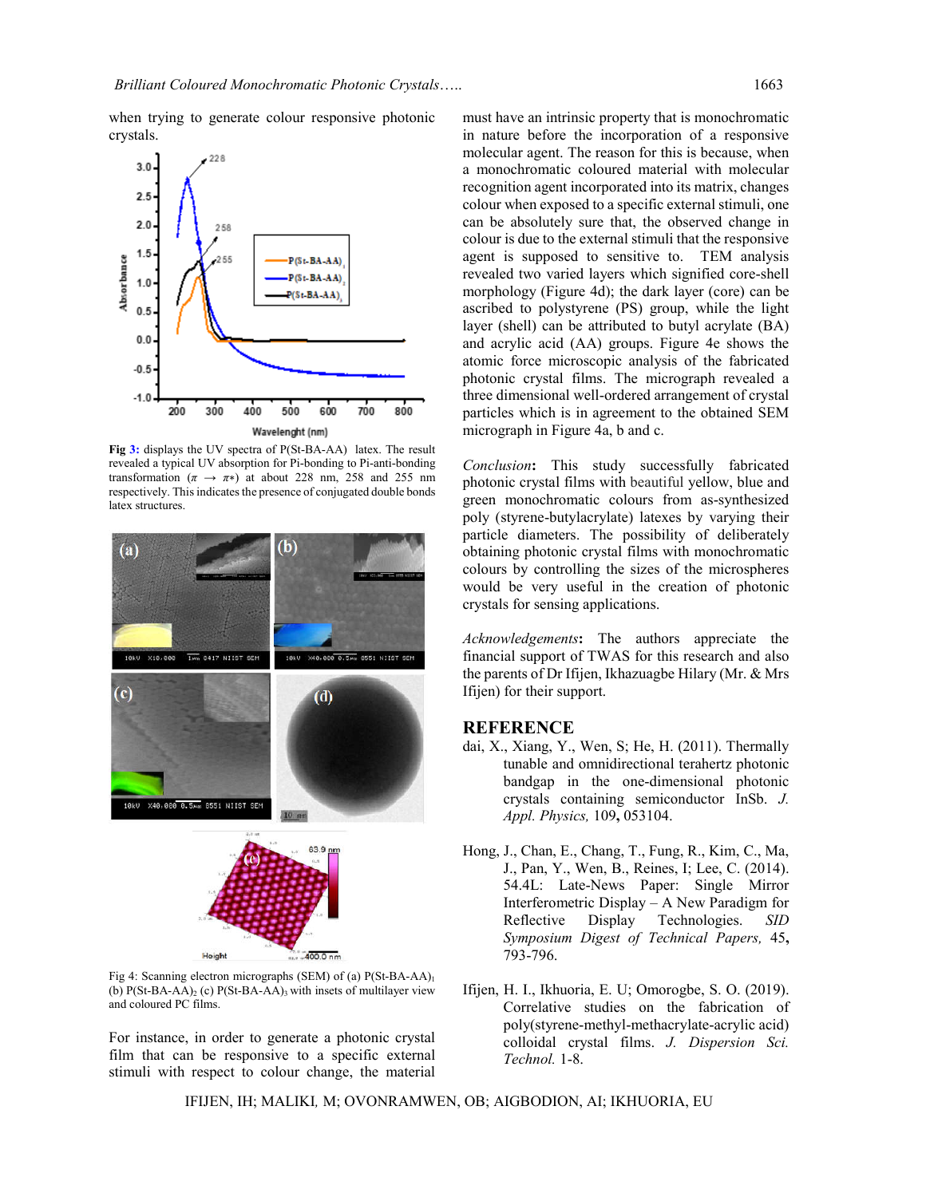when trying to generate colour responsive photonic crystals.



**Fig 3:** displays the UV spectra of P(St-BA-AA) latex. The result revealed a typical UV absorption for Pi-bonding to Pi-anti-bonding transformation ( $\pi \rightarrow \pi$ <sup>\*</sup>) at about 228 nm, 258 and 255 nm respectively. This indicates the presence of conjugated double bonds latex structures.



Fig 4: Scanning electron micrographs (SEM) of (a) P(St-BA-AA)<sub>1</sub> (b)  $P(St-BA-AA)$ <sub>2</sub> (c)  $P(St-BA-AA)$ <sub>3</sub> with insets of multilayer view and coloured PC films.

For instance, in order to generate a photonic crystal film that can be responsive to a specific external stimuli with respect to colour change, the material

must have an intrinsic property that is monochromatic in nature before the incorporation of a responsive molecular agent. The reason for this is because, when a monochromatic coloured material with molecular recognition agent incorporated into its matrix, changes colour when exposed to a specific external stimuli, one can be absolutely sure that, the observed change in colour is due to the external stimuli that the responsive agent is supposed to sensitive to. TEM analysis revealed two varied layers which signified core-shell morphology (Figure 4d); the dark layer (core) can be ascribed to polystyrene (PS) group, while the light layer (shell) can be attributed to butyl acrylate (BA) and acrylic acid (AA) groups. Figure 4e shows the atomic force microscopic analysis of the fabricated photonic crystal films. The micrograph revealed a three dimensional well-ordered arrangement of crystal particles which is in agreement to the obtained SEM micrograph in Figure 4a, b and c.

*Conclusion***:** This study successfully fabricated photonic crystal films with beautiful yellow, blue and green monochromatic colours from as-synthesized poly (styrene-butylacrylate) latexes by varying their particle diameters. The possibility of deliberately obtaining photonic crystal films with monochromatic colours by controlling the sizes of the microspheres would be very useful in the creation of photonic crystals for sensing applications.

*Acknowledgements***:** The authors appreciate the financial support of TWAS for this research and also the parents of Dr Ifijen, Ikhazuagbe Hilary (Mr. & Mrs Ifijen) for their support.

### **REFERENCE**

- dai, X., Xiang, Y., Wen, S; He, H. (2011). Thermally tunable and omnidirectional terahertz photonic bandgap in the one-dimensional photonic crystals containing semiconductor InSb. *J. Appl. Physics,* 109**,** 053104.
- Hong, J., Chan, E., Chang, T., Fung, R., Kim, C., Ma, J., Pan, Y., Wen, B., Reines, I; Lee, C. (2014). 54.4L: Late-News Paper: Single Mirror Interferometric Display – A New Paradigm for Reflective Display Technologies. *SID Symposium Digest of Technical Papers,* 45**,** 793-796.
- Ifijen, H. I., Ikhuoria, E. U; Omorogbe, S. O. (2019). Correlative studies on the fabrication of poly(styrene-methyl-methacrylate-acrylic acid) colloidal crystal films. *J. Dispersion Sci. Technol.* 1-8.

IFIJEN, IH; MALIKI*,* M; OVONRAMWEN, OB; AIGBODION, AI; IKHUORIA, EU